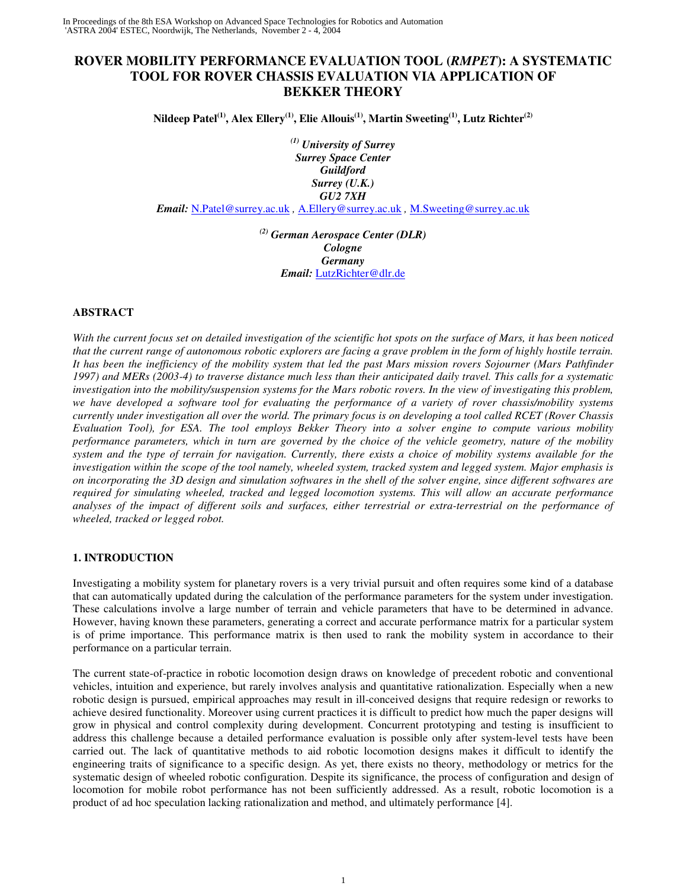# **ROVER MOBILITY PERFORMANCE EVALUATION TOOL (***RMPET***): A SYSTEMATIC TOOL FOR ROVER CHASSIS EVALUATION VIA APPLICATION OF BEKKER THEORY**

Nildeep Patel $^{\rm (1)},$  Alex Ellery $^{\rm (1)},$  Elie Allouis $^{\rm (1)},$  Martin Sweeting $^{\rm (1)},$  Lutz Richter $^{\rm (2)}$ 

*(1) University of Surrey Surrey Space Center Guildford Surrey (U.K.) GU2 7XH*

*Email:* N.Patel@surrey.ac.uk *,* A.Ellery@surrey.ac.uk *,* M.Sweeting@surrey.ac.uk

*(2) German Aerospace Center (DLR) Cologne Germany Email:* LutzRichter@dlr.de

# **ABSTRACT**

With the current focus set on detailed investigation of the scientific hot spots on the surface of Mars, it has been noticed that the current range of autonomous robotic explorers are facing a grave problem in the form of highly hostile terrain. It has been the inefficiency of the mobility system that led the past Mars mission rovers Sojourner (Mars Pathfinder 1997) and MERs (2003-4) to traverse distance much less than their anticipated daily travel. This calls for a systematic investigation into the mobility/suspension systems for the Mars robotic rovers. In the view of investigating this problem, we have developed a software tool for evaluating the performance of a variety of rover chassis/mobility systems currently under investigation all over the world. The primary focus is on developing a tool called RCET (Rover Chassis Evaluation Tool), for ESA. The tool employs Bekker Theory into a solver engine to compute various mobility performance parameters, which in turn are governed by the choice of the vehicle geometry, nature of the mobility system and the type of terrain for navigation. Currently, there exists a choice of mobility systems available for the investigation within the scope of the tool namely, wheeled system, tracked system and legged system. Major emphasis is on incorporating the 3D design and simulation softwares in the shell of the solver engine, since different softwares are *required for simulating wheeled, tracked and legged locomotion systems. This will allow an accurate performance* analyses of the impact of different soils and surfaces, either terrestrial or extra-terrestrial on the performance of *wheeled, tracked or legged robot.*

# **1. INTRODUCTION**

Investigating a mobility system for planetary rovers is a very trivial pursuit and often requires some kind of a database that can automatically updated during the calculation of the performance parameters for the system under investigation. These calculations involve a large number of terrain and vehicle parameters that have to be determined in advance. However, having known these parameters, generating a correct and accurate performance matrix for a particular system is of prime importance. This performance matrix is then used to rank the mobility system in accordance to their performance on a particular terrain.

The current state-of-practice in robotic locomotion design draws on knowledge of precedent robotic and conventional vehicles, intuition and experience, but rarely involves analysis and quantitative rationalization. Especially when a new robotic design is pursued, empirical approaches may result in ill-conceived designs that require redesign or reworks to achieve desired functionality. Moreover using current practices it is difficult to predict how much the paper designs will grow in physical and control complexity during development. Concurrent prototyping and testing is insufficient to address this challenge because a detailed performance evaluation is possible only after system-level tests have been carried out. The lack of quantitative methods to aid robotic locomotion designs makes it difficult to identify the engineering traits of significance to a specific design. As yet, there exists no theory, methodology or metrics for the systematic design of wheeled robotic configuration. Despite its significance, the process of configuration and design of locomotion for mobile robot performance has not been sufficiently addressed. As a result, robotic locomotion is a product of ad hoc speculation lacking rationalization and method, and ultimately performance [4].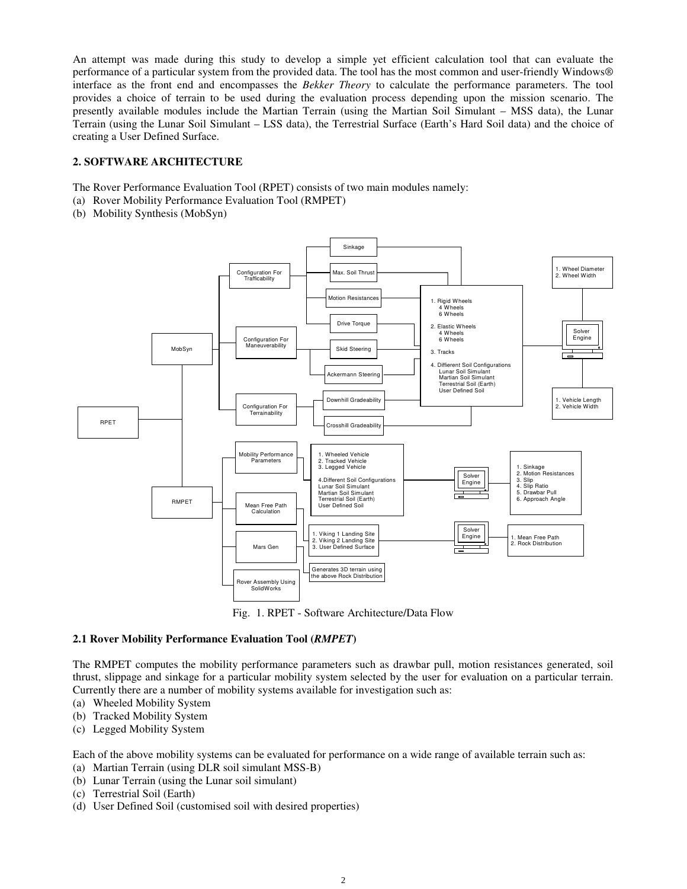An attempt was made during this study to develop a simple yet efficient calculation tool that can evaluate the performance of a particular system from the provided data. The tool has the most common and user-friendly Windows® interface as the front end and encompasses the *Bekker Theory* to calculate the performance parameters. The tool provides a choice of terrain to be used during the evaluation process depending upon the mission scenario. The presently available modules include the Martian Terrain (using the Martian Soil Simulant – MSS data), the Lunar Terrain (using the Lunar Soil Simulant – LSS data), the Terrestrial Surface (Earth's Hard Soil data) and the choice of creating a User Defined Surface.

# **2. SOFTWARE ARCHITECTURE**

The Rover Performance Evaluation Tool (RPET) consists of two main modules namely:

- (a) Rover Mobility Performance Evaluation Tool (RMPET)
- (b) Mobility Synthesis (MobSyn)



Fig. 1. RPET - Software Architecture/Data Flow

# **2.1 Rover Mobility Performance Evaluation Tool (***RMPET***)**

The RMPET computes the mobility performance parameters such as drawbar pull, motion resistances generated, soil thrust, slippage and sinkage for a particular mobility system selected by the user for evaluation on a particular terrain. Currently there are a number of mobility systems available for investigation such as:

- (a) Wheeled Mobility System
- (b) Tracked Mobility System
- (c) Legged Mobility System

Each of the above mobility systems can be evaluated for performance on a wide range of available terrain such as:

- (a) Martian Terrain (using DLR soil simulant MSS-B)
- (b) Lunar Terrain (using the Lunar soil simulant)
- (c) Terrestrial Soil (Earth)
- (d) User Defined Soil (customised soil with desired properties)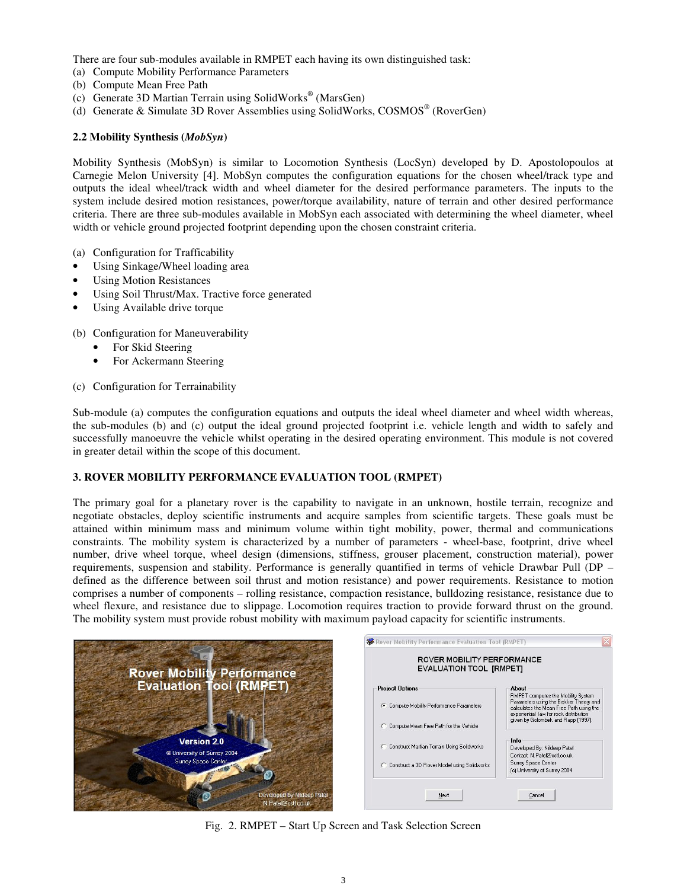There are four sub-modules available in RMPET each having its own distinguished task:

- (a) Compute Mobility Performance Parameters
- (b) Compute Mean Free Path
- (c) Generate 3D Martian Terrain using SolidWorks ® (MarsGen)
- (d) Generate & Simulate 3D Rover Assemblies using SolidWorks, COSMOS ® (RoverGen)

# **2.2 Mobility Synthesis (***MobSyn***)**

Mobility Synthesis (MobSyn) is similar to Locomotion Synthesis (LocSyn) developed by D. Apostolopoulos at Carnegie Melon University [4]. MobSyn computes the configuration equations for the chosen wheel/track type and outputs the ideal wheel/track width and wheel diameter for the desired performance parameters. The inputs to the system include desired motion resistances, power/torque availability, nature of terrain and other desired performance criteria. There are three sub-modules available in MobSyn each associated with determining the wheel diameter, wheel width or vehicle ground projected footprint depending upon the chosen constraint criteria.

- (a) Configuration for Trafficability
- Using Sinkage/Wheel loading area
- **Using Motion Resistances**
- Using Soil Thrust/Max. Tractive force generated
- Using Available drive torque

(b) Configuration for Maneuverability

- For Skid Steering
- For Ackermann Steering
- (c) Configuration for Terrainability

Sub-module (a) computes the configuration equations and outputs the ideal wheel diameter and wheel width whereas, the sub-modules (b) and (c) output the ideal ground projected footprint i.e. vehicle length and width to safely and successfully manoeuvre the vehicle whilst operating in the desired operating environment. This module is not covered in greater detail within the scope of this document.

# **3. ROVER MOBILITY PERFORMANCE EVALUATION TOOL (RMPET)**

The primary goal for a planetary rover is the capability to navigate in an unknown, hostile terrain, recognize and negotiate obstacles, deploy scientific instruments and acquire samples from scientific targets. These goals must be attained within minimum mass and minimum volume within tight mobility, power, thermal and communications constraints. The mobility system is characterized by a number of parameters - wheel-base, footprint, drive wheel number, drive wheel torque, wheel design (dimensions, stiffness, grouser placement, construction material), power requirements, suspension and stability. Performance is generally quantified in terms of vehicle Drawbar Pull (DP – defined as the difference between soil thrust and motion resistance) and power requirements. Resistance to motion comprises a number of components – rolling resistance, compaction resistance, bulldozing resistance, resistance due to wheel flexure, and resistance due to slippage. Locomotion requires traction to provide forward thrust on the ground. The mobility system must provide robust mobility with maximum payload capacity for scientific instruments.

|                                                  | <b>XX</b> Rover Mobility Performance Evaluation Tool (RMPET)<br>ROVER MOBILITY PERFORMANCE<br><b>EVALUATION TOOL [RMPET]</b> |                                                                                                                                                                  |
|--------------------------------------------------|------------------------------------------------------------------------------------------------------------------------------|------------------------------------------------------------------------------------------------------------------------------------------------------------------|
| <b>Rover Mobility Performance</b>                |                                                                                                                              |                                                                                                                                                                  |
| <b>Evaluation Tool (RMPET)</b>                   | <b>Project Options</b>                                                                                                       | About                                                                                                                                                            |
|                                                  | C Compute Mobility Performance Parameters                                                                                    | RMPET computes the Mobility System<br>Parameters using the Bekker Theory and<br>calculates the Mean Free Path using the<br>exponential law for rock distribution |
|                                                  | C Compute Mean Free Path for the Vehicle                                                                                     | given by Golombek and Rapp (1997).                                                                                                                               |
| Version 2.0<br>© University of Surrey 2004       | C Construct Martian Terrain Using Solidworks                                                                                 | Info<br>Developed By: Nildeep Patel<br>Contact: N.Patel@sstl.co.uk                                                                                               |
| Surrey Space Center                              | C Construct a 3D Rover Model using Solidworks                                                                                | Surrey Space Center<br>(c) University of Surrey 2004                                                                                                             |
|                                                  |                                                                                                                              |                                                                                                                                                                  |
| Developed by Nildeep Patel<br>N.Patel@sstl.co.uk | Next                                                                                                                         | Cancel                                                                                                                                                           |

Fig. 2. RMPET – Start Up Screen and Task Selection Screen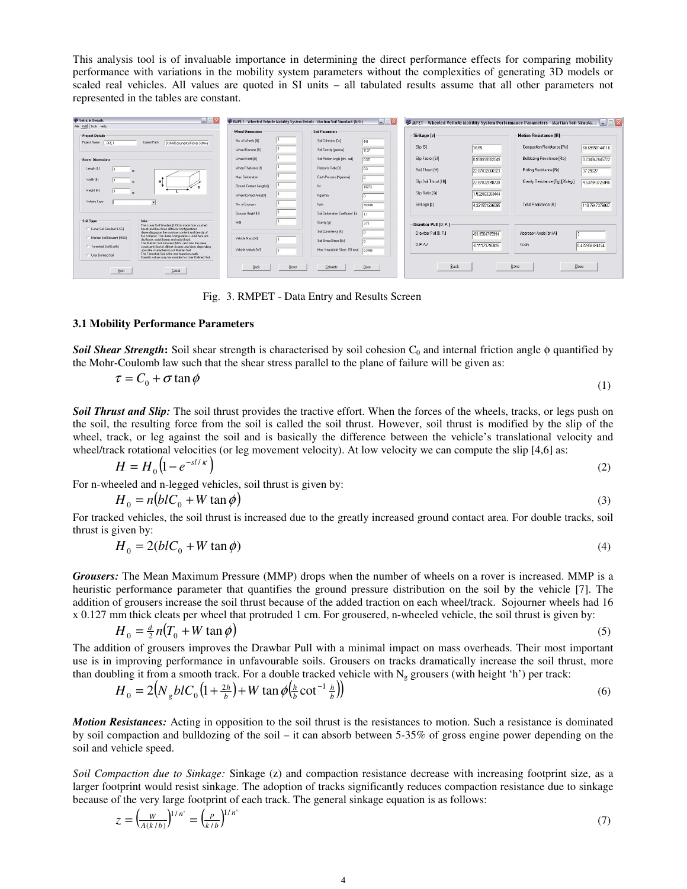This analysis tool is of invaluable importance in determining the direct performance effects for comparing mobility performance with variations in the mobility system parameters without the complexities of generating 3D models or scaled real vehicles. All values are quoted in SI units – all tabulated results assume that all other parameters not represented in the tables are constant.



Fig. 3. RMPET - Data Entry and Results Screen

#### **3.1 Mobility Performance Parameters**

**Soil Shear Strength:** Soil shear strength is characterised by soil cohesion  $C_0$  and internal friction angle  $\phi$  quantified by the Mohr-Coulomb law such that the shear stress parallel to the plane of failure will be given as:

$$
\tau = C_0 + \sigma \tan \phi \tag{1}
$$

*Soil Thrust and Slip:* The soil thrust provides the tractive effort. When the forces of the wheels, tracks, or legs push on the soil, the resulting force from the soil is called the soil thrust. However, soil thrust is modified by the slip of the wheel, track, or leg against the soil and is basically the difference between the vehicle's translational velocity and wheel/track rotational velocities (or leg movement velocity). At low velocity we can compute the slip [4,6] as:

$$
H = H_0 \left( 1 - e^{-st/\kappa} \right) \tag{2}
$$

For n-wheeled and n-legged vehicles, soil thrust is given by:

$$
H_0 = n\left(bIC_0 + W\tan\phi\right) \tag{3}
$$

For tracked vehicles, the soil thrust is increased due to the greatly increased ground contact area. For double tracks, soil thrust is given by:

$$
H_0 = 2(blC_0 + W \tan \phi) \tag{4}
$$

*Grousers:* The Mean Maximum Pressure (MMP) drops when the number of wheels on a rover is increased. MMP is a heuristic performance parameter that quantifies the ground pressure distribution on the soil by the vehicle [7]. The addition of grousers increase the soil thrust because of the added traction on each wheel/track. Sojourner wheels had 16 x 0.127 mm thick cleats per wheel that protruded 1 cm. For grousered, n-wheeled vehicle, the soil thrust is given by:

$$
H_0 = \frac{d}{2} n (T_0 + W \tan \phi) \tag{5}
$$

The addition of grousers improves the Drawbar Pull with a minimal impact on mass overheads. Their most important use is in improving performance in unfavourable soils. Grousers on tracks dramatically increase the soil thrust, more than doubling it from a smooth track. For a double tracked vehicle with  $N_g$  grousers (with height 'h') per track:

$$
H_0 = 2\left(N_g b l C_0 \left(1 + \frac{2h}{b}\right) + W \tan \phi \left(\frac{h}{b} \cot^{-1} \frac{h}{b}\right)\right) \tag{6}
$$

*Motion Resistances:* Acting in opposition to the soil thrust is the resistances to motion. Such a resistance is dominated by soil compaction and bulldozing of the soil – it can absorb between 5-35% of gross engine power depending on the soil and vehicle speed.

*Soil Compaction due to Sinkage:* Sinkage (z) and compaction resistance decrease with increasing footprint size, as a larger footprint would resist sinkage. The adoption of tracks significantly reduces compaction resistance due to sinkage because of the very large footprint of each track. The general sinkage equation is as follows:

$$
z = \left(\frac{w}{A(k/b)}\right)^{1/n'} = \left(\frac{p}{k/b}\right)^{1/n'}\tag{7}
$$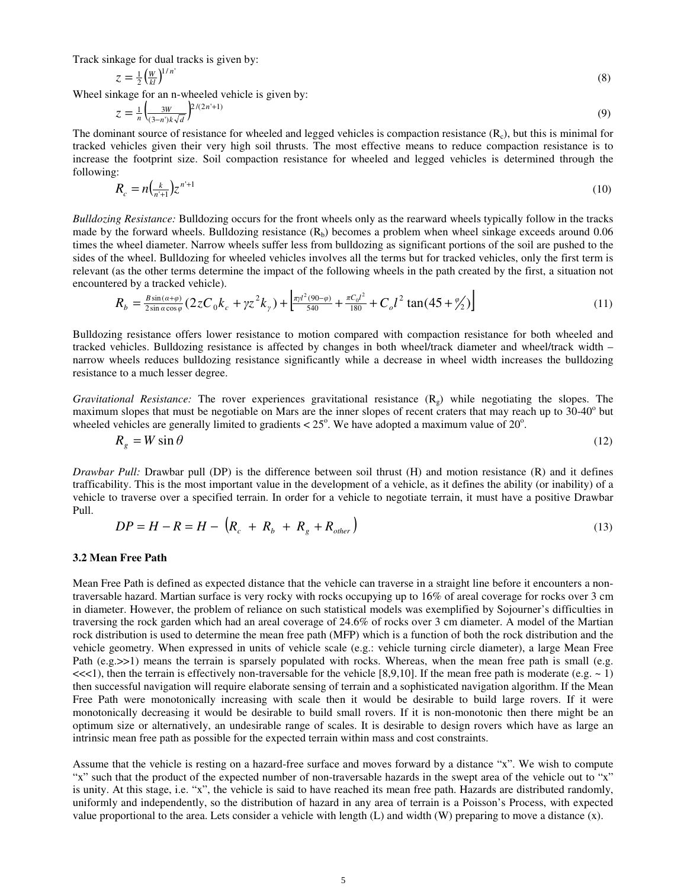Track sinkage for dual tracks is given by:

$$
z = \frac{1}{2} \left( \frac{w}{kl} \right)^{1/n} \tag{8}
$$

Wheel sinkage for an n-wheeled vehicle is given by:

$$
z = \frac{1}{n} \left( \frac{3W}{(3-n)k\sqrt{d}} \right)^{2/(2n+1)}
$$
(9)

The dominant source of resistance for wheeled and legged vehicles is compaction resistance  $(R<sub>c</sub>)$ , but this is minimal for tracked vehicles given their very high soil thrusts. The most effective means to reduce compaction resistance is to increase the footprint size. Soil compaction resistance for wheeled and legged vehicles is determined through the following:

$$
R_c = n\left(\frac{k}{n+1}\right)z^{n+1} \tag{10}
$$

*Bulldozing Resistance:* Bulldozing occurs for the front wheels only as the rearward wheels typically follow in the tracks made by the forward wheels. Bulldozing resistance  $(R_b)$  becomes a problem when wheel sinkage exceeds around 0.06 times the wheel diameter. Narrow wheels suffer less from bulldozing as significant portions of the soil are pushed to the sides of the wheel. Bulldozing for wheeled vehicles involves all the terms but for tracked vehicles, only the first term is relevant (as the other terms determine the impact of the following wheels in the path created by the first, a situation not encountered by a tracked vehicle).

$$
R_b = \frac{B\sin(a+\varphi)}{2\sin a\cos\varphi} (2zC_0k_c + \gamma z^2k_\gamma) + \left[\frac{\pi\gamma l^2(90-\varphi)}{540} + \frac{\pi C_0l^2}{180} + C_o l^2 \tan(45+\frac{\varphi}{2})\right]
$$
(11)

Bulldozing resistance offers lower resistance to motion compared with compaction resistance for both wheeled and tracked vehicles. Bulldozing resistance is affected by changes in both wheel/track diameter and wheel/track width – narrow wheels reduces bulldozing resistance significantly while a decrease in wheel width increases the bulldozing resistance to a much lesser degree.

*Gravitational Resistance:* The rover experiences gravitational resistance  $(R_g)$  while negotiating the slopes. The maximum slopes that must be negotiable on Mars are the inner slopes of recent craters that may reach up to 30-40° but wheeled vehicles are generally limited to gradients  $< 25^{\circ}$ . We have adopted a maximum value of 20°.

$$
R_g = W \sin \theta \tag{12}
$$

*Drawbar Pull:* Drawbar pull (DP) is the difference between soil thrust (H) and motion resistance (R) and it defines trafficability. This is the most important value in the development of a vehicle, as it defines the ability (or inability) of a vehicle to traverse over a specified terrain. In order for a vehicle to negotiate terrain, it must have a positive Drawbar Pull.

$$
DP = H - R = H - \left(R_c + R_b + R_g + R_{other}\right)
$$
\n<sup>(13)</sup>

#### **3.2 Mean Free Path**

Mean Free Path is defined as expected distance that the vehicle can traverse in a straight line before it encounters a nontraversable hazard. Martian surface is very rocky with rocks occupying up to 16% of areal coverage for rocks over 3 cm in diameter. However, the problem of reliance on such statistical models was exemplified by Sojourner's difficulties in traversing the rock garden which had an areal coverage of 24.6% of rocks over 3 cm diameter. A model of the Martian rock distribution is used to determine the mean free path (MFP) which is a function of both the rock distribution and the vehicle geometry. When expressed in units of vehicle scale (e.g.: vehicle turning circle diameter), a large Mean Free Path (e.g. $>>1$ ) means the terrain is sparsely populated with rocks. Whereas, when the mean free path is small (e.g.  $\ll$ <1), then the terrain is effectively non-traversable for the vehicle [8,9,10]. If the mean free path is moderate (e.g.  $\sim$  1) then successful navigation will require elaborate sensing of terrain and a sophisticated navigation algorithm. If the Mean Free Path were monotonically increasing with scale then it would be desirable to build large rovers. If it were monotonically decreasing it would be desirable to build small rovers. If it is non-monotonic then there might be an optimum size or alternatively, an undesirable range of scales. It is desirable to design rovers which have as large an intrinsic mean free path as possible for the expected terrain within mass and cost constraints.

Assume that the vehicle is resting on a hazard-free surface and moves forward by a distance "x". We wish to compute "x" such that the product of the expected number of non-traversable hazards in the swept area of the vehicle out to "x" is unity. At this stage, i.e. "x", the vehicle is said to have reached its mean free path. Hazards are distributed randomly, uniformly and independently, so the distribution of hazard in any area of terrain is a Poisson's Process, with expected value proportional to the area. Lets consider a vehicle with length  $(L)$  and width  $(W)$  preparing to move a distance  $(x)$ .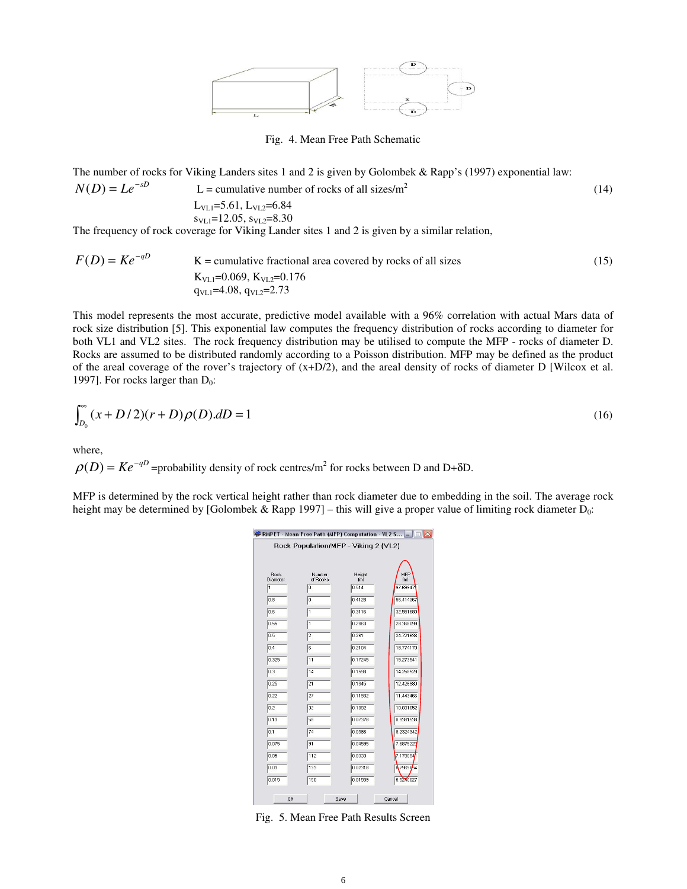

Fig. 4. Mean Free Path Schematic

The number of rocks for Viking Landers sites 1 and 2 is given by Golombek & Rapp's (1997) exponential law:  $-$ ∘D

$$
N(D) = Le^{-sD}
$$
 L = cumulative number of rocks of all sizes/m<sup>2</sup>  
L<sub>VL1</sub>=5.61, L<sub>VL2</sub>=6.84  
s<sub>VL1</sub>=12.05, s<sub>VL2</sub>=8.30  
The frequency of each sequence for N<sub>VL1</sub>=12.05 and *Q* is given by a similar relation

The frequency of rock coverage for Viking Lander sites 1 and 2 is given by a similar relation,

$$
F(D) = Ke^{-qD}
$$
 K = cumulative fractional area covered by rocks of all sizes  
\n
$$
K_{\text{VL1}}=0.069, K_{\text{VL2}}=0.176
$$
\n
$$
q_{\text{VL1}}=4.08, q_{\text{VL2}}=2.73
$$
\n(15)

This model represents the most accurate, predictive model available with a 96% correlation with actual Mars data of rock size distribution [5]. This exponential law computes the frequency distribution of rocks according to diameter for both VL1 and VL2 sites. The rock frequency distribution may be utilised to compute the MFP - rocks of diameter D. Rocks are assumed to be distributed randomly according to a Poisson distribution. MFP may be defined as the product of the areal coverage of the rover's trajectory of  $(x+D/2)$ , and the areal density of rocks of diameter D [Wilcox et al. 1997]. For rocks larger than  $D_0$ :

$$
\int_{D_0}^{\infty} (x + D/2)(r + D)\rho(D)dD = 1
$$
\n(16)

where,

 $\rho(D) = Ke^{-qD}$  =probability density of rock centres/m<sup>2</sup> for rocks between D and D+ $\delta$ D.

MFP is determined by the rock vertical height rather than rock diameter due to embedding in the soil. The average rock height may be determined by [Golombek & Rapp 1997] – this will give a proper value of limiting rock diameter  $D_0$ :

|                                      |                    |                            | RMPET - Mean Free Path (MFP) Computation - VL2 S - $\Box X$ |  |
|--------------------------------------|--------------------|----------------------------|-------------------------------------------------------------|--|
| Rock Population/MFP - Viking 2 (VL2) |                    |                            |                                                             |  |
|                                      |                    |                            |                                                             |  |
|                                      |                    |                            |                                                             |  |
| Rock<br>Diameter                     | Number<br>of Rocks | Height<br>$\overline{[m]}$ | MFP<br>[ <sub>m</sub> ]                                     |  |
| 1                                    | o                  | 0.514                      | 97.69947                                                    |  |
| 0.8                                  | o                  | 0.4128                     | 56.414367                                                   |  |
| 0.6                                  | 1                  | 0.3116                     | 32.551680                                                   |  |
| 0.55                                 | 1                  | 0.2863                     | 28.368099                                                   |  |
| 0.5                                  | $\overline{2}$     | 0.261                      | 24.721636                                                   |  |
| 0.4                                  | 6                  | 0.2104                     | 18.774170                                                   |  |
| 0.325                                | 11                 | 0.17245                    | 15.273541                                                   |  |
| 0.3                                  | 14                 | 0.1598                     | 14.258529                                                   |  |
| 0.25                                 | 21                 | 0.1345                     | 12.426980                                                   |  |
| 0.22                                 | 27                 | 0.11932                    | 11.443466                                                   |  |
| 0.2                                  | 32                 | 0.1092                     | 10.831652                                                   |  |
| 0.13                                 | 58                 | 0.07378                    | 8.9381538                                                   |  |
| 0.1                                  | 74                 | 0.0586                     | 8.2324342                                                   |  |
| 0.075                                | 91                 | 0.04595                    | 7.6875223                                                   |  |
| 0.05                                 | 112                | 0.0333                     | 7.179094                                                    |  |
| 0.03                                 | 133                | 0.02318                    | A7969864                                                    |  |
| 0.015                                | 150                | 0.01559                    | 6.5240027                                                   |  |
|                                      |                    |                            |                                                             |  |
| QK<br>Save<br>Cancel                 |                    |                            |                                                             |  |

Fig. 5. Mean Free Path Results Screen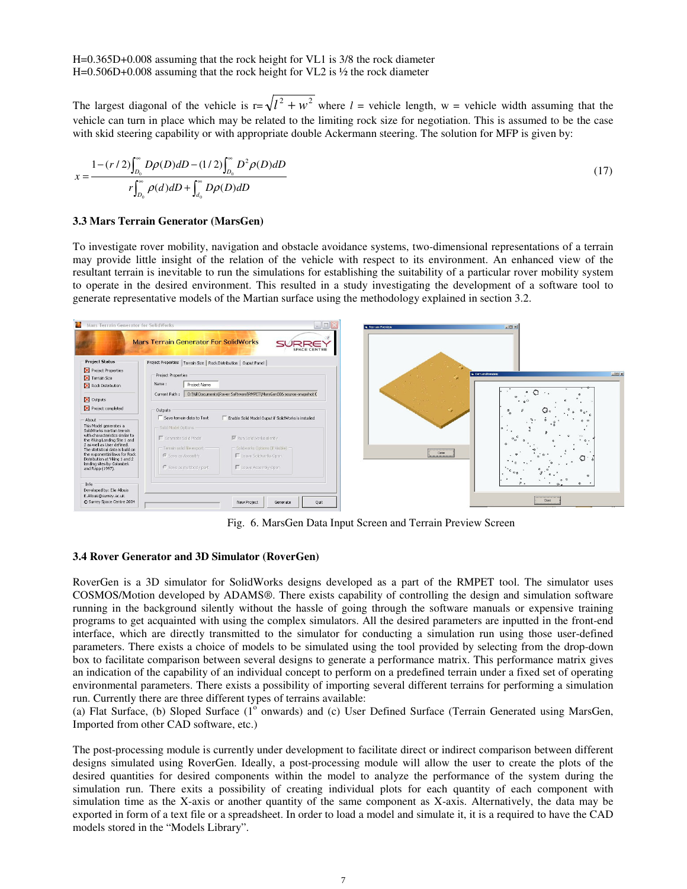H=0.365D+0.008 assuming that the rock height for VL1 is 3/8 the rock diameter H=0.506D+0.008 assuming that the rock height for VL2 is ½ the rock diameter

The largest diagonal of the vehicle is  $r = \sqrt{l^2 + w^2}$  where  $l$  = vehicle length, w = vehicle width assuming that the vehicle can turn in place which may be related to the limiting rock size for negotiation. This is assumed to be the case with skid steering capability or with appropriate double Ackermann steering. The solution for MFP is given by:

$$
x = \frac{1 - (r/2) \int_{D_0}^{\infty} D\rho(D) dD - (1/2) \int_{D_0}^{\infty} D^2 \rho(D) dD}{r \int_{D_0}^{\infty} \rho(d) dD + \int_{d_0}^{\infty} D\rho(D) dD}
$$
(17)

#### **3.3 Mars Terrain Generator (MarsGen)**

To investigate rover mobility, navigation and obstacle avoidance systems, two-dimensional representations of a terrain may provide little insight of the relation of the vehicle with respect to its environment. An enhanced view of the resultant terrain is inevitable to run the simulations for establishing the suitability of a particular rover mobility system to operate in the desired environment. This resulted in a study investigating the development of a software tool to generate representative models of the Martian surface using the methodology explained in section 3.2.



Fig. 6. MarsGen Data Input Screen and Terrain Preview Screen

#### **3.4 Rover Generator and 3D Simulator (RoverGen)**

RoverGen is a 3D simulator for SolidWorks designs developed as a part of the RMPET tool. The simulator uses COSMOS/Motion developed by ADAMS®. There exists capability of controlling the design and simulation software running in the background silently without the hassle of going through the software manuals or expensive training programs to get acquainted with using the complex simulators. All the desired parameters are inputted in the front-end interface, which are directly transmitted to the simulator for conducting a simulation run using those user-defined parameters. There exists a choice of models to be simulated using the tool provided by selecting from the drop-down box to facilitate comparison between several designs to generate a performance matrix. This performance matrix gives an indication of the capability of an individual concept to perform on a predefined terrain under a fixed set of operating environmental parameters. There exists a possibility of importing several different terrains for performing a simulation run. Currently there are three different types of terrains available:

(a) Flat Surface, (b) Sloped Surface  $(1^{\circ}$  onwards) and (c) User Defined Surface (Terrain Generated using MarsGen, Imported from other CAD software, etc.)

The post-processing module is currently under development to facilitate direct or indirect comparison between different designs simulated using RoverGen. Ideally, a post-processing module will allow the user to create the plots of the desired quantities for desired components within the model to analyze the performance of the system during the simulation run. There exits a possibility of creating individual plots for each quantity of each component with simulation time as the X-axis or another quantity of the same component as X-axis. Alternatively, the data may be exported in form of a text file or a spreadsheet. In order to load a model and simulate it, it is a required to have the CAD models stored in the "Models Library".